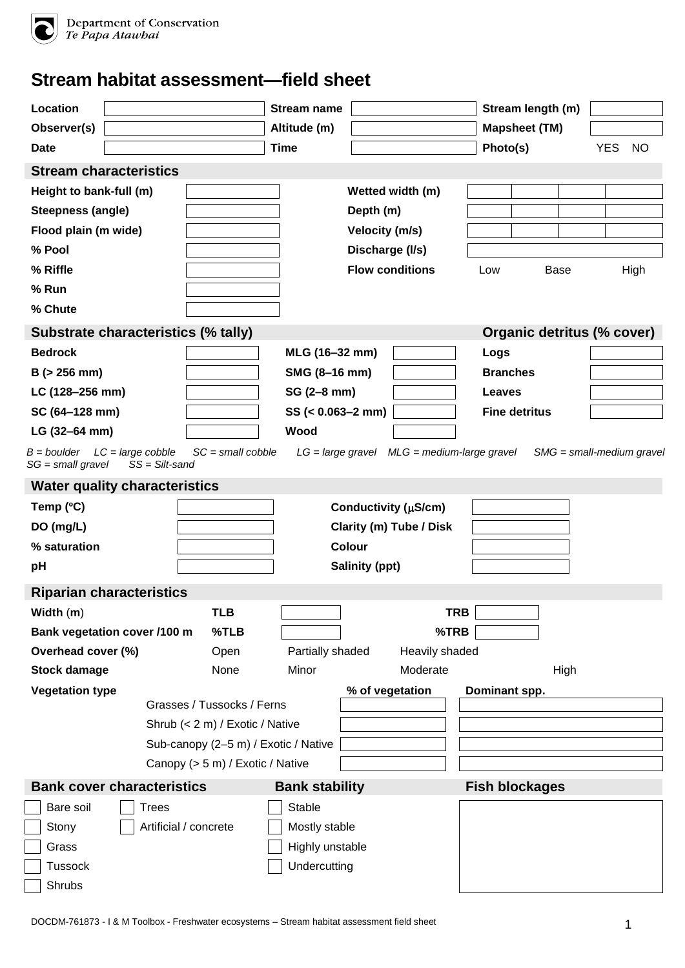

Department of Conservation<br>Te Papa Atawbai

## **Stream habitat assessment—field sheet**

| Location                                                          |                                      |                                      | <b>Stream name</b>    |                       |                                                    |                       | Stream length (m)           |            |           |
|-------------------------------------------------------------------|--------------------------------------|--------------------------------------|-----------------------|-----------------------|----------------------------------------------------|-----------------------|-----------------------------|------------|-----------|
| Observer(s)                                                       |                                      |                                      | Altitude (m)          |                       |                                                    | <b>Mapsheet (TM)</b>  |                             |            |           |
| Date                                                              |                                      |                                      | <b>Time</b>           |                       |                                                    | Photo(s)              |                             | <b>YES</b> | <b>NO</b> |
|                                                                   | <b>Stream characteristics</b>        |                                      |                       |                       |                                                    |                       |                             |            |           |
| Height to bank-full (m)                                           |                                      |                                      |                       |                       | Wetted width (m)                                   |                       |                             |            |           |
| <b>Steepness (angle)</b>                                          |                                      |                                      |                       | Depth (m)             |                                                    |                       |                             |            |           |
| Flood plain (m wide)                                              |                                      |                                      |                       | Velocity (m/s)        |                                                    |                       |                             |            |           |
| % Pool                                                            |                                      |                                      |                       |                       | Discharge (I/s)                                    |                       |                             |            |           |
| % Riffle                                                          |                                      |                                      |                       |                       | <b>Flow conditions</b>                             | Low                   | <b>Base</b>                 |            | High      |
| % Run                                                             |                                      |                                      |                       |                       |                                                    |                       |                             |            |           |
| % Chute                                                           |                                      |                                      |                       |                       |                                                    |                       |                             |            |           |
|                                                                   | Substrate characteristics (% tally)  |                                      |                       |                       |                                                    |                       | Organic detritus (% cover)  |            |           |
| <b>Bedrock</b>                                                    |                                      |                                      | MLG (16-32 mm)        |                       |                                                    | Logs                  |                             |            |           |
| $B$ ( $> 256$ mm)                                                 |                                      |                                      | SMG (8-16 mm)         |                       |                                                    | <b>Branches</b>       |                             |            |           |
| LC (128-256 mm)                                                   |                                      |                                      | SG (2-8 mm)           |                       |                                                    | <b>Leaves</b>         |                             |            |           |
| SC (64-128 mm)                                                    |                                      |                                      | $SS (= 0.063 - 2 mm)$ |                       |                                                    | <b>Fine detritus</b>  |                             |            |           |
| LG (32-64 mm)                                                     |                                      |                                      | Wood                  |                       |                                                    |                       |                             |            |           |
| $B = \text{boulder}$ $LC = \text{large cobble}$<br>$SG = small\,$ | $SS = Silt$ -sand                    | $SC = small cobble$                  |                       |                       | $LG = large\,gravel$ $MLG = medium\,large\,gravel$ |                       | $SMG = small-medium$ gravel |            |           |
|                                                                   | <b>Water quality characteristics</b> |                                      |                       |                       |                                                    |                       |                             |            |           |
| Temp (°C)                                                         |                                      |                                      |                       |                       | Conductivity (µS/cm)                               |                       |                             |            |           |
| DO (mg/L)                                                         |                                      |                                      |                       |                       | Clarity (m) Tube / Disk                            |                       |                             |            |           |
| % saturation                                                      |                                      |                                      |                       | <b>Colour</b>         |                                                    |                       |                             |            |           |
| pH                                                                |                                      |                                      |                       | <b>Salinity (ppt)</b> |                                                    |                       |                             |            |           |
|                                                                   | <b>Riparian characteristics</b>      |                                      |                       |                       |                                                    |                       |                             |            |           |
| Width (m)                                                         |                                      | TLB                                  |                       |                       | <b>TRB</b>                                         |                       |                             |            |           |
|                                                                   | Bank vegetation cover /100 m         | %TLB                                 |                       |                       | %TRB                                               |                       |                             |            |           |
| Overhead cover (%)                                                |                                      | Open                                 | Partially shaded      |                       | Heavily shaded                                     |                       |                             |            |           |
| <b>Stock damage</b>                                               |                                      | None                                 | Minor                 |                       | Moderate                                           |                       | High                        |            |           |
| <b>Vegetation type</b>                                            |                                      |                                      |                       |                       | % of vegetation                                    | Dominant spp.         |                             |            |           |
|                                                                   |                                      | Grasses / Tussocks / Ferns           |                       |                       |                                                    |                       |                             |            |           |
|                                                                   |                                      | Shrub (< 2 m) / Exotic / Native      |                       |                       |                                                    |                       |                             |            |           |
|                                                                   |                                      | Sub-canopy (2-5 m) / Exotic / Native |                       |                       |                                                    |                       |                             |            |           |
|                                                                   |                                      | Canopy (> 5 m) / Exotic / Native     |                       |                       |                                                    |                       |                             |            |           |
|                                                                   | <b>Bank cover characteristics</b>    |                                      | <b>Bank stability</b> |                       |                                                    | <b>Fish blockages</b> |                             |            |           |
| Bare soil                                                         | <b>Trees</b>                         |                                      | Stable                |                       |                                                    |                       |                             |            |           |
| Stony                                                             |                                      | Artificial / concrete                | Mostly stable         |                       |                                                    |                       |                             |            |           |
| Grass                                                             |                                      |                                      | Highly unstable       |                       |                                                    |                       |                             |            |           |
| <b>Tussock</b>                                                    |                                      |                                      | Undercutting          |                       |                                                    |                       |                             |            |           |
| Shrubs                                                            |                                      |                                      |                       |                       |                                                    |                       |                             |            |           |